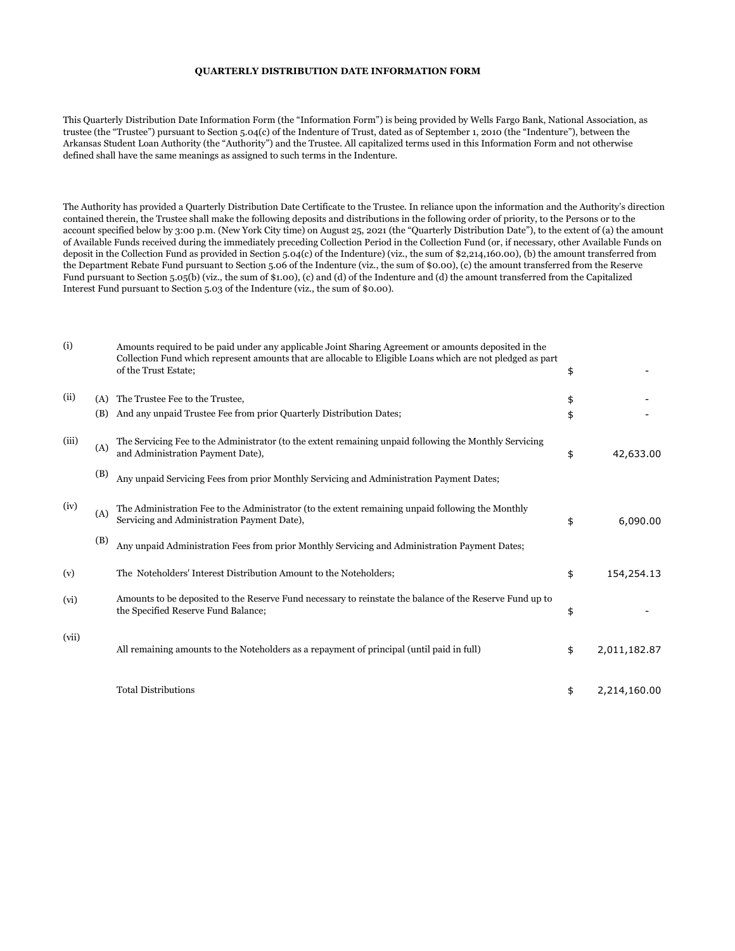## QUARTERLY DISTRIBUTION DATE INFORMATION FORM

This Quarterly Distribution Date Information Form (the "Information Form") is being provided by Wells Fargo Bank, National Association, as trustee (the "Trustee") pursuant to Section 5.04(c) of the Indenture of Trust, dated as of September 1, 2010 (the "Indenture"), between the Arkansas Student Loan Authority (the "Authority") and the Trustee. All capitalized terms used in this Information Form and not otherwise defined shall have the same meanings as assigned to such terms in the Indenture.

The Authority has provided a Quarterly Distribution Date Certificate to the Trustee. In reliance upon the information and the Authority's direction contained therein, the Trustee shall make the following deposits and distributions in the following order of priority, to the Persons or to the account specified below by 3:00 p.m. (New York City time) on August 25, 2021 (the "Quarterly Distribution Date"), to the extent of (a) the amount of Available Funds received during the immediately preceding Collection Period in the Collection Fund (or, if necessary, other Available Funds on deposit in the Collection Fund as provided in Section 5.04(c) of the Indenture) (viz., the sum of \$2,214,160.00), (b) the amount transferred from the Department Rebate Fund pursuant to Section 5.06 of the Indenture (viz., the sum of \$0.00), (c) the amount transferred from the Reserve Fund pursuant to Section 5.05(b) (viz., the sum of \$1.00), (c) and (d) of the Indenture and (d) the amount transferred from the Capitalized Interest Fund pursuant to Section 5.03 of the Indenture (viz., the sum of \$0.00).

| (i)   |     | Amounts required to be paid under any applicable Joint Sharing Agreement or amounts deposited in the<br>Collection Fund which represent amounts that are allocable to Eligible Loans which are not pledged as part<br>of the Trust Estate; | \$                 |
|-------|-----|--------------------------------------------------------------------------------------------------------------------------------------------------------------------------------------------------------------------------------------------|--------------------|
| (ii)  | (A) | The Trustee Fee to the Trustee.                                                                                                                                                                                                            | \$                 |
|       | (B) | And any unpaid Trustee Fee from prior Quarterly Distribution Dates;                                                                                                                                                                        | \$                 |
| (iii) | (A) | The Servicing Fee to the Administrator (to the extent remaining unpaid following the Monthly Servicing<br>and Administration Payment Date),                                                                                                | \$<br>42,633.00    |
|       | (B) | Any unpaid Servicing Fees from prior Monthly Servicing and Administration Payment Dates;                                                                                                                                                   |                    |
| (iv)  | (A) | The Administration Fee to the Administrator (to the extent remaining unpaid following the Monthly<br>Servicing and Administration Payment Date),                                                                                           | \$<br>6,090.00     |
|       | (B) | Any unpaid Administration Fees from prior Monthly Servicing and Administration Payment Dates;                                                                                                                                              |                    |
| (v)   |     | The Noteholders' Interest Distribution Amount to the Noteholders;                                                                                                                                                                          | \$<br>154,254.13   |
| (vi)  |     | Amounts to be deposited to the Reserve Fund necessary to reinstate the balance of the Reserve Fund up to<br>the Specified Reserve Fund Balance;                                                                                            | \$                 |
| (vii) |     | All remaining amounts to the Noteholders as a repayment of principal (until paid in full)                                                                                                                                                  | \$<br>2,011,182.87 |
|       |     | <b>Total Distributions</b>                                                                                                                                                                                                                 | \$<br>2,214,160.00 |